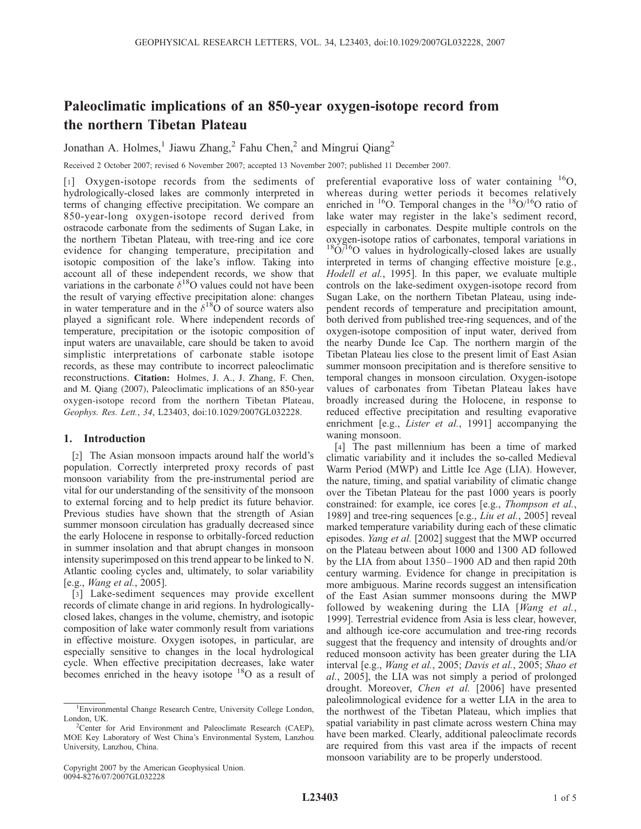# Paleoclimatic implications of an 850-year oxygen-isotope record from the northern Tibetan Plateau

Jonathan A. Holmes,<sup>1</sup> Jiawu Zhang,<sup>2</sup> Fahu Chen,<sup>2</sup> and Mingrui Qiang<sup>2</sup>

Received 2 October 2007; revised 6 November 2007; accepted 13 November 2007; published 11 December 2007.

[1] Oxygen-isotope records from the sediments of hydrologically-closed lakes are commonly interpreted in terms of changing effective precipitation. We compare an 850-year-long oxygen-isotope record derived from ostracode carbonate from the sediments of Sugan Lake, in the northern Tibetan Plateau, with tree-ring and ice core evidence for changing temperature, precipitation and isotopic composition of the lake's inflow. Taking into account all of these independent records, we show that variations in the carbonate  $\delta^{18}$ O values could not have been the result of varying effective precipitation alone: changes in water temperature and in the  $\delta^{18}$ O of source waters also played a significant role. Where independent records of temperature, precipitation or the isotopic composition of input waters are unavailable, care should be taken to avoid simplistic interpretations of carbonate stable isotope records, as these may contribute to incorrect paleoclimatic reconstructions. Citation: Holmes, J. A., J. Zhang, F. Chen, and M. Qiang (2007), Paleoclimatic implications of an 850-year oxygen-isotope record from the northern Tibetan Plateau, Geophys. Res. Lett., 34, L23403, doi:10.1029/2007GL032228.

## 1. Introduction

[2] The Asian monsoon impacts around half the world's population. Correctly interpreted proxy records of past monsoon variability from the pre-instrumental period are vital for our understanding of the sensitivity of the monsoon to external forcing and to help predict its future behavior. Previous studies have shown that the strength of Asian summer monsoon circulation has gradually decreased since the early Holocene in response to orbitally-forced reduction in summer insolation and that abrupt changes in monsoon intensity superimposed on this trend appear to be linked to N. Atlantic cooling cycles and, ultimately, to solar variability [e.g., Wang et al., 2005].

[3] Lake-sediment sequences may provide excellent records of climate change in arid regions. In hydrologicallyclosed lakes, changes in the volume, chemistry, and isotopic composition of lake water commonly result from variations in effective moisture. Oxygen isotopes, in particular, are especially sensitive to changes in the local hydrological cycle. When effective precipitation decreases, lake water becomes enriched in the heavy isotope <sup>18</sup>O as a result of

Copyright 2007 by the American Geophysical Union. 0094-8276/07/2007GL032228

preferential evaporative loss of water containing  $^{16}O$ , whereas during wetter periods it becomes relatively enriched in  ${}^{16}O$ . Temporal changes in the  ${}^{18}O/{}^{16}O$  ratio of lake water may register in the lake's sediment record, especially in carbonates. Despite multiple controls on the oxygen-isotope ratios of carbonates, temporal variations in  $18O/16O$  values in hydrologically-closed lakes are usually interpreted in terms of changing effective moisture [e.g., Hodell et al., 1995]. In this paper, we evaluate multiple controls on the lake-sediment oxygen-isotope record from Sugan Lake, on the northern Tibetan Plateau, using independent records of temperature and precipitation amount, both derived from published tree-ring sequences, and of the oxygen-isotope composition of input water, derived from the nearby Dunde Ice Cap. The northern margin of the Tibetan Plateau lies close to the present limit of East Asian summer monsoon precipitation and is therefore sensitive to temporal changes in monsoon circulation. Oxygen-isotope values of carbonates from Tibetan Plateau lakes have broadly increased during the Holocene, in response to reduced effective precipitation and resulting evaporative enrichment [e.g., *Lister et al.*, 1991] accompanying the waning monsoon.

[4] The past millennium has been a time of marked climatic variability and it includes the so-called Medieval Warm Period (MWP) and Little Ice Age (LIA). However, the nature, timing, and spatial variability of climatic change over the Tibetan Plateau for the past 1000 years is poorly constrained: for example, ice cores [e.g., Thompson et al., 1989] and tree-ring sequences [e.g., Liu et al., 2005] reveal marked temperature variability during each of these climatic episodes. Yang et al. [2002] suggest that the MWP occurred on the Plateau between about 1000 and 1300 AD followed by the LIA from about 1350– 1900 AD and then rapid 20th century warming. Evidence for change in precipitation is more ambiguous. Marine records suggest an intensification of the East Asian summer monsoons during the MWP followed by weakening during the LIA [Wang et al., 1999]. Terrestrial evidence from Asia is less clear, however, and although ice-core accumulation and tree-ring records suggest that the frequency and intensity of droughts and/or reduced monsoon activity has been greater during the LIA interval [e.g., Wang et al., 2005; Davis et al., 2005; Shao et al., 2005], the LIA was not simply a period of prolonged drought. Moreover, Chen et al. [2006] have presented paleolimnological evidence for a wetter LIA in the area to the northwest of the Tibetan Plateau, which implies that spatial variability in past climate across western China may have been marked. Clearly, additional paleoclimate records are required from this vast area if the impacts of recent monsoon variability are to be properly understood.

<sup>1</sup> Environmental Change Research Centre, University College London, London, UK.

<sup>&</sup>lt;sup>2</sup>Center for Arid Environment and Paleoclimate Research (CAEP), MOE Key Laboratory of West China's Environmental System, Lanzhou University, Lanzhou, China.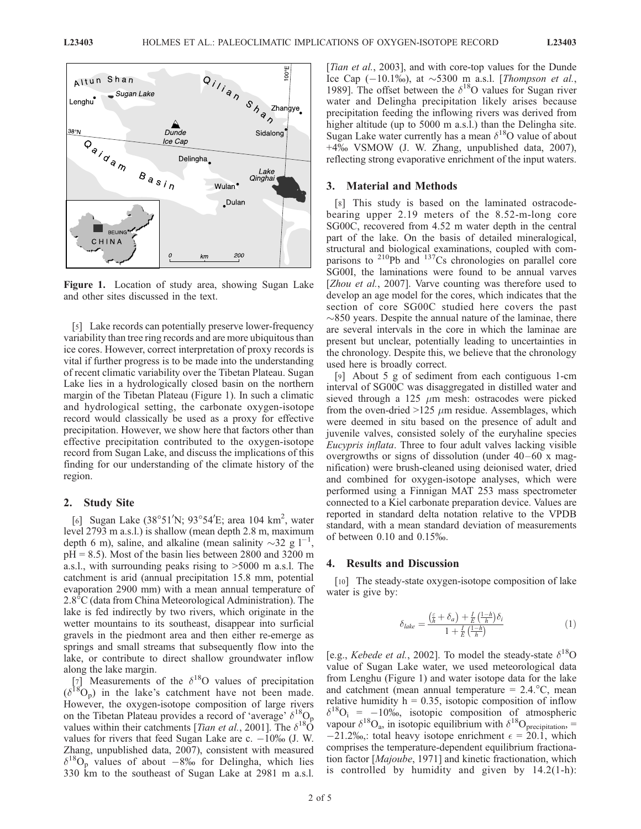

Figure 1. Location of study area, showing Sugan Lake and other sites discussed in the text.

[5] Lake records can potentially preserve lower-frequency variability than tree ring records and are more ubiquitous than ice cores. However, correct interpretation of proxy records is vital if further progress is to be made into the understanding of recent climatic variability over the Tibetan Plateau. Sugan Lake lies in a hydrologically closed basin on the northern margin of the Tibetan Plateau (Figure 1). In such a climatic and hydrological setting, the carbonate oxygen-isotope record would classically be used as a proxy for effective precipitation. However, we show here that factors other than effective precipitation contributed to the oxygen-isotope record from Sugan Lake, and discuss the implications of this finding for our understanding of the climate history of the region.

#### 2. Study Site

[6] Sugan Lake (38°51'N; 93°54'E; area 104 km<sup>2</sup>, water level 2793 m a.s.l.) is shallow (mean depth 2.8 m, maximum depth 6 m), saline, and alkaline (mean salinity  $\sim$ 32 g l<sup>-1</sup>,  $pH = 8.5$ ). Most of the basin lies between 2800 and 3200 m a.s.l., with surrounding peaks rising to >5000 m a.s.l. The catchment is arid (annual precipitation 15.8 mm, potential evaporation 2900 mm) with a mean annual temperature of 2.8<sup>°</sup>C (data from China Meteorological Administration). The lake is fed indirectly by two rivers, which originate in the wetter mountains to its southeast, disappear into surficial gravels in the piedmont area and then either re-emerge as springs and small streams that subsequently flow into the lake, or contribute to direct shallow groundwater inflow along the lake margin.

[7] Measurements of the  $\delta^{18}$ O values of precipitation  $(\delta^{18}O_p)$  in the lake's catchment have not been made. However, the oxygen-isotope composition of large rivers on the Tibetan Plateau provides a record of 'average'  $\delta^{18}O_p$ values within their catchments [*Tian et al.*, 2001]. The  $\delta^{18}$ O values for rivers that feed Sugan Lake are c.  $-10\%$  (J. W. Zhang, unpublished data, 2007), consistent with measured  $\delta^{18}O_p$  values of about  $-8\%$  for Delingha, which lies 330 km to the southeast of Sugan Lake at 2981 m a.s.l. [*Tian et al.*, 2003], and with core-top values for the Dunde Ice Cap  $(-10.1\%)$ , at  $\sim$  5300 m a.s.l. [Thompson et al., 1989]. The offset between the  $\delta^{18}$ O values for Sugan river water and Delingha precipitation likely arises because precipitation feeding the inflowing rivers was derived from higher altitude (up to 5000 m a.s.l.) than the Delingha site. Sugan Lake water currently has a mean  $\delta^{18}$ O value of about +4% VSMOW (J. W. Zhang, unpublished data, 2007), reflecting strong evaporative enrichment of the input waters.

#### 3. Material and Methods

[8] This study is based on the laminated ostracodebearing upper 2.19 meters of the 8.52-m-long core SG00C, recovered from 4.52 m water depth in the central part of the lake. On the basis of detailed mineralogical, structural and biological examinations, coupled with comparisons to  $^{210}Pb$  and  $^{137}Cs$  chronologies on parallel core SG00I, the laminations were found to be annual varves [*Zhou et al.*, 2007]. Varve counting was therefore used to develop an age model for the cores, which indicates that the section of core SG00C studied here covers the past  $\sim$ 850 years. Despite the annual nature of the laminae, there are several intervals in the core in which the laminae are present but unclear, potentially leading to uncertainties in the chronology. Despite this, we believe that the chronology used here is broadly correct.

[9] About 5 g of sediment from each contiguous 1-cm interval of SG00C was disaggregated in distilled water and sieved through a 125  $\mu$ m mesh: ostracodes were picked from the oven-dried  $>125 \mu m$  residue. Assemblages, which were deemed in situ based on the presence of adult and juvenile valves, consisted solely of the euryhaline species Eucypris inflata. Three to four adult valves lacking visible overgrowths or signs of dissolution (under  $40-60$  x magnification) were brush-cleaned using deionised water, dried and combined for oxygen-isotope analyses, which were performed using a Finnigan MAT 253 mass spectrometer connected to a Kiel carbonate preparation device. Values are reported in standard delta notation relative to the VPDB standard, with a mean standard deviation of measurements of between 0.10 and 0.15%.

## 4. Results and Discussion

[10] The steady-state oxygen-isotope composition of lake water is give by:

$$
\delta_{\text{label}} = \frac{\left(\frac{\varepsilon}{h} + \delta_a\right) + \frac{I}{E}\left(\frac{1-h}{h}\right)\delta_i}{1 + \frac{I}{E}\left(\frac{1-h}{h}\right)}\tag{1}
$$

[e.g., *Kebede et al.*, 2002]. To model the steady-state  $\delta^{18}O$ value of Sugan Lake water, we used meteorological data from Lenghu (Figure 1) and water isotope data for the lake and catchment (mean annual temperature  $= 2.4$ . °C, mean relative humidity  $h = 0.35$ , isotopic composition of inflow  $\delta^{18}O_i = -10\%$ , isotopic composition of atmospheric vapour  $\delta^{18}O_{\text{a}}$ , in isotopic equilibrium with  $\delta^{18}O_{\text{preipitation}}=$  $-21.2\%$ , total heavy isotope enrichment  $\epsilon = 20.1$ , which comprises the temperature-dependent equilibrium fractionation factor [Majoube, 1971] and kinetic fractionation, which is controlled by humidity and given by 14.2(1-h):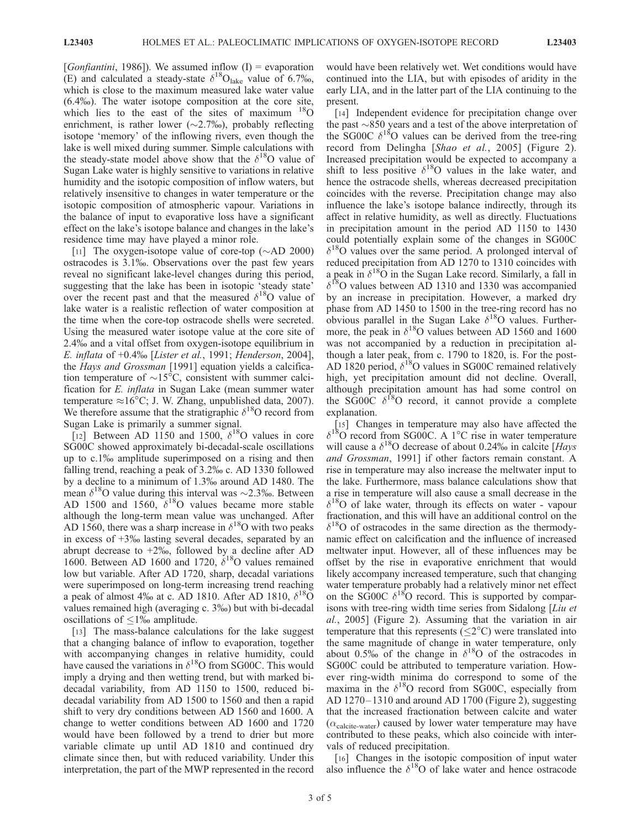[*Gonfiantini*, 1986]). We assumed inflow  $(I)$  = evaporation (E) and calculated a steady-state  $\delta^{18}O_{\text{late}}$  value of 6.7%, which is close to the maximum measured lake water value (6.4%). The water isotope composition at the core site, which lies to the east of the sites of maximum  $18$ O enrichment, is rather lower ( $\sim$ 2.7‰), probably reflecting isotope 'memory' of the inflowing rivers, even though the lake is well mixed during summer. Simple calculations with the steady-state model above show that the  $\delta^{18}$ O value of Sugan Lake water is highly sensitive to variations in relative humidity and the isotopic composition of inflow waters, but relatively insensitive to changes in water temperature or the isotopic composition of atmospheric vapour. Variations in the balance of input to evaporative loss have a significant effect on the lake's isotope balance and changes in the lake's residence time may have played a minor role.

[11] The oxygen-isotope value of core-top  $(\simAD 2000)$ ostracodes is 3.1%. Observations over the past few years reveal no significant lake-level changes during this period, suggesting that the lake has been in isotopic 'steady state' over the recent past and that the measured  $\delta^{18}$ O value of lake water is a realistic reflection of water composition at the time when the core-top ostracode shells were secreted. Using the measured water isotope value at the core site of 2.4% and a vital offset from oxygen-isotope equilibrium in E. inflata of  $+0.4\%$  [Lister et al., 1991; Henderson, 2004], the *Hays and Grossman* [1991] equation yields a calcification temperature of  $\sim$ 15°C, consistent with summer calcification for E. inflata in Sugan Lake (mean summer water temperature  $\approx 16^{\circ}$ C; J. W. Zhang, unpublished data, 2007). We therefore assume that the stratigraphic  $\delta^{18}$ O record from Sugan Lake is primarily a summer signal.

[12] Between AD 1150 and 1500,  $\delta^{18}$ O values in core SG00C showed approximately bi-decadal-scale oscillations up to c.1% amplitude superimposed on a rising and then falling trend, reaching a peak of 3.2% c. AD 1330 followed by a decline to a minimum of 1.3% around AD 1480. The mean  $\delta^{18}$ O value during this interval was ~2.3‰. Between AD 1500 and 1560,  $\delta^{18}$ O values became more stable although the long-term mean value was unchanged. After AD 1560, there was a sharp increase in  $\delta^{18}$ O with two peaks in excess of  $+3\%$  lasting several decades, separated by an abrupt decrease to  $+2\%$ , followed by a decline after AD 1600. Between AD 1600 and 1720,  $\delta^{18}$ O values remained low but variable. After AD 1720, sharp, decadal variations were superimposed on long-term increasing trend reaching a peak of almost 4‰ at c. AD 1810. After AD 1810,  $\delta^{18}$ O values remained high (averaging c. 3‰) but with bi-decadal oscillations of  $\leq$ 1% amplitude.

[13] The mass-balance calculations for the lake suggest that a changing balance of inflow to evaporation, together with accompanying changes in relative humidity, could have caused the variations in  $\delta^{18}O$  from SG00C. This would imply a drying and then wetting trend, but with marked bidecadal variability, from AD 1150 to 1500, reduced bidecadal variability from AD 1500 to 1560 and then a rapid shift to very dry conditions between AD 1560 and 1600. A change to wetter conditions between AD 1600 and 1720 would have been followed by a trend to drier but more variable climate up until AD 1810 and continued dry climate since then, but with reduced variability. Under this interpretation, the part of the MWP represented in the record

would have been relatively wet. Wet conditions would have continued into the LIA, but with episodes of aridity in the early LIA, and in the latter part of the LIA continuing to the present.

[14] Independent evidence for precipitation change over the past  $\sim$ 850 years and a test of the above interpretation of the SG00C  $\delta^{18}$ O values can be derived from the tree-ring record from Delingha [Shao et al., 2005] (Figure 2). Increased precipitation would be expected to accompany a shift to less positive  $\delta^{18}$ O values in the lake water, and hence the ostracode shells, whereas decreased precipitation coincides with the reverse. Precipitation change may also influence the lake's isotope balance indirectly, through its affect in relative humidity, as well as directly. Fluctuations in precipitation amount in the period AD 1150 to 1430 could potentially explain some of the changes in SG00C  $\delta^{18}$ O values over the same period. A prolonged interval of reduced precipitation from AD 1270 to 1310 coincides with a peak in  $\delta^{18}$ O in the Sugan Lake record. Similarly, a fall in  $\delta^{18}$ O values between AD 1310 and 1330 was accompanied by an increase in precipitation. However, a marked dry phase from AD 1450 to 1500 in the tree-ring record has no obvious parallel in the Sugan Lake  $\delta^{18}$ O values. Furthermore, the peak in  $\delta^{18}$ O values between AD 1560 and 1600 was not accompanied by a reduction in precipitation although a later peak, from c. 1790 to 1820, is. For the post-AD 1820 period,  $\delta^{18}$ O values in SG00C remained relatively high, yet precipitation amount did not decline. Overall, although precipitation amount has had some control on the SG00C  $\delta^{18}$ O record, it cannot provide a complete explanation.

[15] Changes in temperature may also have affected the  $\delta^{18}$ O record from SG00C. A 1°C rise in water temperature will cause a  $\delta^{18}$ O decrease of about 0.24‰ in calcite [Hays and Grossman, 1991] if other factors remain constant. A rise in temperature may also increase the meltwater input to the lake. Furthermore, mass balance calculations show that a rise in temperature will also cause a small decrease in the  $\delta^{18}$ O of lake water, through its effects on water - vapour fractionation, and this will have an additional control on the  $\delta^{18}$ O of ostracodes in the same direction as the thermodynamic effect on calcification and the influence of increased meltwater input. However, all of these influences may be offset by the rise in evaporative enrichment that would likely accompany increased temperature, such that changing water temperature probably had a relatively minor net effect on the SG00C  $\delta^{18}$ O record. This is supported by comparisons with tree-ring width time series from Sidalong [Liu et al., 2005] (Figure 2). Assuming that the variation in air temperature that this represents ( $\leq$ 2 $\degree$ C) were translated into the same magnitude of change in water temperature, only about 0.5% of the change in  $\delta^{18}$ O of the ostracodes in SG00C could be attributed to temperature variation. However ring-width minima do correspond to some of the maxima in the  $\delta^{18}O$  record from SG00C, especially from AD 1270 – 1310 and around AD 1700 (Figure 2), suggesting that the increased fractionation between calcite and water  $(\alpha_{\text{calcite-water}})$  caused by lower water temperature may have contributed to these peaks, which also coincide with intervals of reduced precipitation.

[16] Changes in the isotopic composition of input water also influence the  $\delta^{18}$ O of lake water and hence ostracode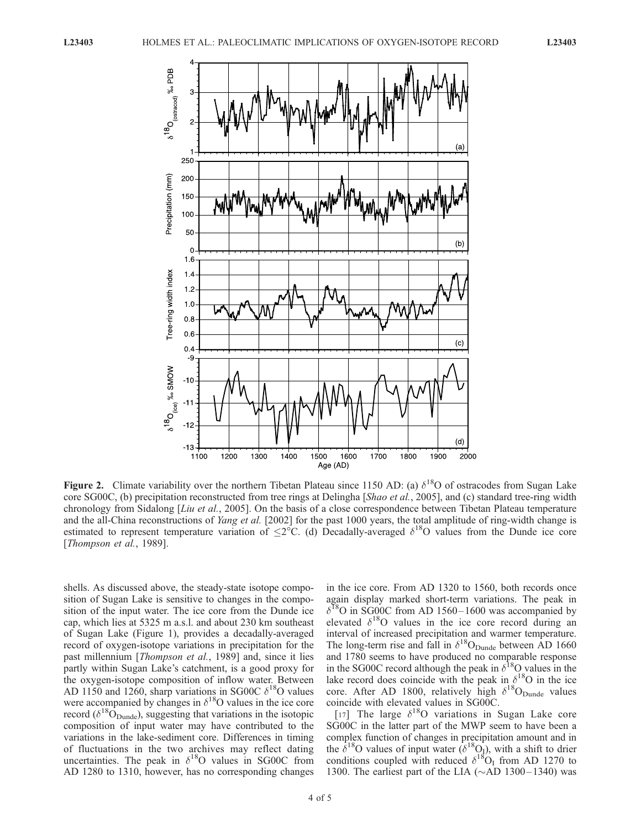

**Figure 2.** Climate variability over the northern Tibetan Plateau since 1150 AD: (a)  $\delta^{18}$ O of ostracodes from Sugan Lake core SG00C, (b) precipitation reconstructed from tree rings at Delingha [Shao et al., 2005], and (c) standard tree-ring width chronology from Sidalong [Liu et al., 2005]. On the basis of a close correspondence between Tibetan Plateau temperature and the all-China reconstructions of *Yang et al.* [2002] for the past 1000 years, the total amplitude of ring-width change is estimated to represent temperature variation of  $\leq 2^{\circ}C$ . (d) Decadally-averaged  $\delta^{18}O$  values from the Dunde ice core [Thompson et al., 1989].

shells. As discussed above, the steady-state isotope composition of Sugan Lake is sensitive to changes in the composition of the input water. The ice core from the Dunde ice cap, which lies at 5325 m a.s.l. and about 230 km southeast of Sugan Lake (Figure 1), provides a decadally-averaged record of oxygen-isotope variations in precipitation for the past millennium [Thompson et al., 1989] and, since it lies partly within Sugan Lake's catchment, is a good proxy for the oxygen-isotope composition of inflow water. Between AD 1150 and 1260, sharp variations in SG00C  $\delta^{18}$ O values were accompanied by changes in  $\delta^{18}$ O values in the ice core record ( $\delta^{18}O_{\text{Dunde}}$ ), suggesting that variations in the isotopic composition of input water may have contributed to the variations in the lake-sediment core. Differences in timing of fluctuations in the two archives may reflect dating uncertainties. The peak in  $\delta^{18}$ O values in SG00C from AD 1280 to 1310, however, has no corresponding changes

in the ice core. From AD 1320 to 1560, both records once again display marked short-term variations. The peak in  $\delta^{18}$ O in SG00C from AD 1560-1600 was accompanied by elevated  $\delta^{18}$ O values in the ice core record during an interval of increased precipitation and warmer temperature. The long-term rise and fall in  $\delta^{18}O_{\text{Dunde}}$  between AD 1660 and 1780 seems to have produced no comparable response in the SG00C record although the peak in  $\delta^{18}$ O values in the lake record does coincide with the peak in  $\delta^{18}O$  in the ice core. After AD 1800, relatively high  $\delta^{18}O_{\text{Dunde}}$  values coincide with elevated values in SG00C.

[17] The large  $\delta^{18}$ O variations in Sugan Lake core SG00C in the latter part of the MWP seem to have been a complex function of changes in precipitation amount and in the  $\delta^{18}$ O values of input water  $(\delta^{18}Q)$ , with a shift to drier conditions coupled with reduced  $\delta^{18}O_{I}$  from AD 1270 to 1300. The earliest part of the LIA ( $\sim$ AD 1300–1340) was